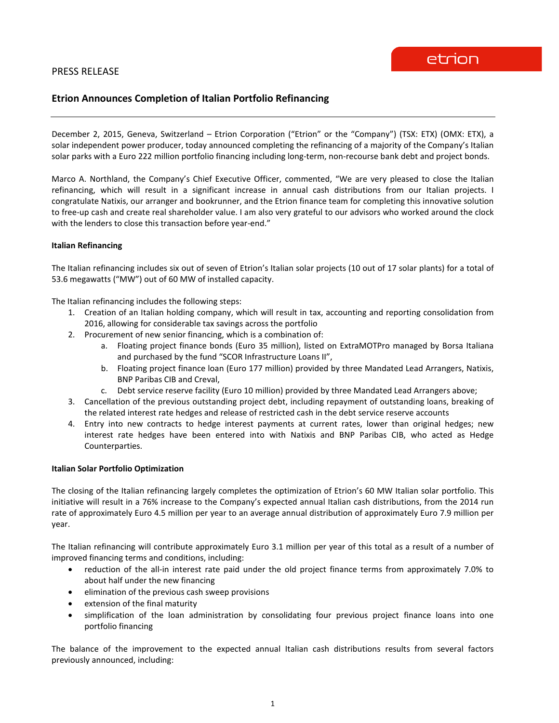# **Etrion Announces Completion of Italian Portfolio Refinancing**

December 2, 2015, Geneva, Switzerland – Etrion Corporation ("Etrion" or the "Company") (TSX: ETX) (OMX: ETX), a solar independent power producer, today announced completing the refinancing of a majority of the Company's Italian solar parks with a Euro 222 million portfolio financing including long-term, non-recourse bank debt and project bonds.

Marco A. Northland, the Company's Chief Executive Officer, commented, "We are very pleased to close the Italian refinancing, which will result in a significant increase in annual cash distributions from our Italian projects. I congratulate Natixis, our arranger and bookrunner, and the Etrion finance team for completing this innovative solution to free-up cash and create real shareholder value. I am also very grateful to our advisors who worked around the clock with the lenders to close this transaction before year-end."

# **Italian Refinancing**

The Italian refinancing includes six out of seven of Etrion's Italian solar projects (10 out of 17 solar plants) for a total of 53.6 megawatts ("MW") out of 60 MW of installed capacity.

The Italian refinancing includes the following steps:

- 1. Creation of an Italian holding company, which will result in tax, accounting and reporting consolidation from 2016, allowing for considerable tax savings across the portfolio
- 2. Procurement of new senior financing, which is a combination of:
	- a. Floating project finance bonds (Euro 35 million), listed on ExtraMOTPro managed by Borsa Italiana and purchased by the fund "SCOR Infrastructure Loans II",
	- b. Floating project finance loan (Euro 177 million) provided by three Mandated Lead Arrangers, Natixis, BNP Paribas CIB and Creval,
	- c. Debt service reserve facility (Euro 10 million) provided by three Mandated Lead Arrangers above;
- 3. Cancellation of the previous outstanding project debt, including repayment of outstanding loans, breaking of the related interest rate hedges and release of restricted cash in the debt service reserve accounts
- 4. Entry into new contracts to hedge interest payments at current rates, lower than original hedges; new interest rate hedges have been entered into with Natixis and BNP Paribas CIB, who acted as Hedge Counterparties.

### **Italian Solar Portfolio Optimization**

The closing of the Italian refinancing largely completes the optimization of Etrion's 60 MW Italian solar portfolio. This initiative will result in a 76% increase to the Company's expected annual Italian cash distributions, from the 2014 run rate of approximately Euro 4.5 million per year to an average annual distribution of approximately Euro 7.9 million per year.

The Italian refinancing will contribute approximately Euro 3.1 million per year of this total as a result of a number of improved financing terms and conditions, including:

- reduction of the all-in interest rate paid under the old project finance terms from approximately 7.0% to about half under the new financing
- elimination of the previous cash sweep provisions
- extension of the final maturity
- simplification of the loan administration by consolidating four previous project finance loans into one portfolio financing

The balance of the improvement to the expected annual Italian cash distributions results from several factors previously announced, including: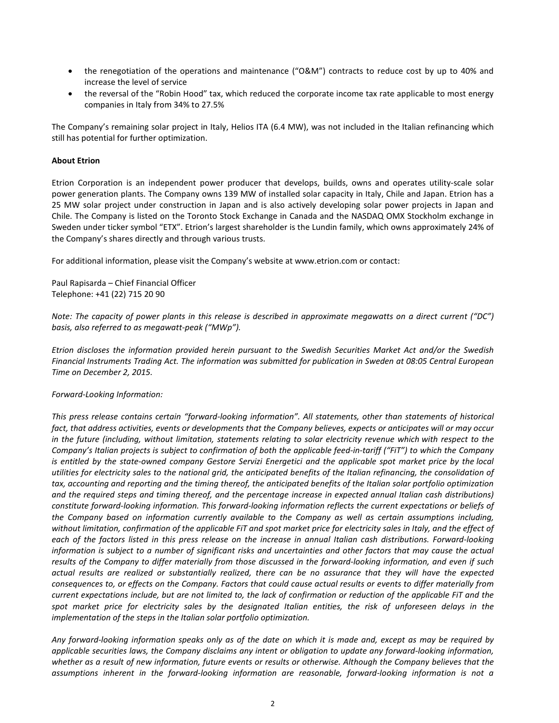- the renegotiation of the operations and maintenance ("O&M") contracts to reduce cost by up to 40% and increase the level of service
- the reversal of the "Robin Hood" tax, which reduced the corporate income tax rate applicable to most energy companies in Italy from 34% to 27.5%

The Company's remaining solar project in Italy, Helios ITA (6.4 MW), was not included in the Italian refinancing which still has potential for further optimization.

# **About Etrion**

Etrion Corporation is an independent power producer that develops, builds, owns and operates utility-scale solar power generation plants. The Company owns 139 MW of installed solar capacity in Italy, Chile and Japan. Etrion has a 25 MW solar project under construction in Japan and is also actively developing solar power projects in Japan and Chile. The Company is listed on the Toronto Stock Exchange in Canada and the NASDAQ OMX Stockholm exchange in Sweden under ticker symbol "ETX". Etrion's largest shareholder is the Lundin family, which owns approximately 24% of the Company's shares directly and through various trusts.

For additional information, please visit the Company's website at www.etrion.com or contact:

Paul Rapisarda – Chief Financial Officer Telephone: +41 (22) 715 20 90

*Note: The capacity of power plants in this release is described in approximate megawatts on a direct current ("DC") basis, also referred to as megawatt-peak ("MWp").*

*Etrion discloses the information provided herein pursuant to the Swedish Securities Market Act and/or the Swedish Financial Instruments Trading Act. The information was submitted for publication in Sweden at 08:05 Central European Time on December 2, 2015.*

### *Forward-Looking Information:*

*This press release contains certain "forward-looking information". All statements, other than statements of historical fact, that address activities, events or developments that the Company believes, expects or anticipates will or may occur in the future (including, without limitation, statements relating to solar electricity revenue which with respect to the Company's Italian projects is subject to confirmation of both the applicable feed-in-tariff ("FiT") to which the Company*  is entitled by the state-owned company Gestore Servizi Energetici and the applicable spot market price by the *local utilities for electricity sales to the national grid, the anticipated benefits of the Italian refinancing, the consolidation of tax, accounting and reporting and the timing thereof, the anticipated benefits of the Italian solar portfolio optimization and the required steps and timing thereof, and the percentage increase in expected annual Italian cash distributions) constitute forward-looking information. This forward-looking information reflects the current expectations or beliefs of the Company based on information currently available to the Company as well as certain assumptions including, without limitation, confirmation of the applicable FiT and spot market price for electricity sales in Italy, and the effect of each of the factors listed in this press release on the increase in annual Italian cash distributions. Forward-looking information is subject to a number of significant risks and uncertainties and other factors that may cause the actual results of the Company to differ materially from those discussed in the forward-looking information, and even if such actual results are realized or substantially realized, there can be no assurance that they will have the expected consequences to, or effects on the Company. Factors that could cause actual results or events to differ materially from current expectations include, but are not limited to, the lack of confirmation or reduction of the applicable FiT and the*  spot market price for electricity sales by the designated Italian entities, the risk of unforeseen delays in the *implementation of the steps in the Italian solar portfolio optimization.*

*Any forward-looking information speaks only as of the date on which it is made and, except as may be required by applicable securities laws, the Company disclaims any intent or obligation to update any forward-looking information, whether as a result of new information, future events or results or otherwise. Although the Company believes that the assumptions inherent in the forward-looking information are reasonable, forward-looking information is not a*